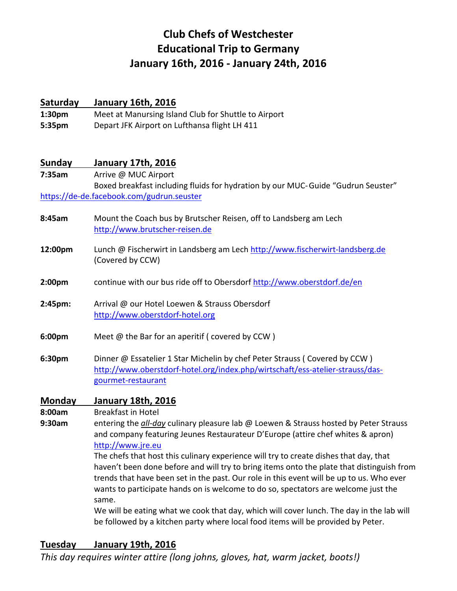# **Club Chefs of Westchester Educational Trip to Germany January 16th, 2016 ‐ January 24th, 2016**

## **Saturday January 16th, 2016**

**1:30pm** Meet at Manursing Island Club for Shuttle to Airport **5:35pm** Depart JFK Airport on Lufthansa flight LH 411

## **Sunday January 17th, 2016**

**7:35am** Arrive @ MUC Airport Boxed breakfast including fluids for hydration by our MUC‐ Guide "Gudrun Seuster" https://de‐de.facebook.com/gudrun.seuster

- **8:45am** Mount the Coach bus by Brutscher Reisen, off to Landsberg am Lech http://www.brutscher‐reisen.de
- 12:00pm Lunch @ Fischerwirt in Landsberg am Lech http://www.fischerwirt-landsberg.de (Covered by CCW)
- **2:00pm** continue with our bus ride off to Obersdorf http://www.oberstdorf.de/en
- **2:45pm:** Arrival @ our Hotel Loewen & Strauss Obersdorf http://www.oberstdorf‐hotel.org
- **6:00pm** Meet @ the Bar for an aperitif ( covered by CCW )
- **6:30pm** Dinner @ Essatelier 1 Star Michelin by chef Peter Strauss ( Covered by CCW ) http://www.oberstdorf-hotel.org/index.php/wirtschaft/ess-atelier-strauss/dasgourmet‐restaurant

#### **Monday January 18th, 2016**

**8:00am** Breakfast in Hotel

**9:30am** entering the *all‐day* culinary pleasure lab @ Loewen & Strauss hosted by Peter Strauss and company featuring Jeunes Restaurateur D'Europe (attire chef whites & apron) http://www.jre.eu

> The chefs that host this culinary experience will try to create dishes that day, that haven't been done before and will try to bring items onto the plate that distinguish from trends that have been set in the past. Our role in this event will be up to us. Who ever wants to participate hands on is welcome to do so, spectators are welcome just the same.

We will be eating what we cook that day, which will cover lunch. The day in the lab will be followed by a kitchen party where local food items will be provided by Peter.

# **Tuesday January 19th, 2016**

*This day requires winter attire (long johns, gloves, hat, warm jacket, boots!)*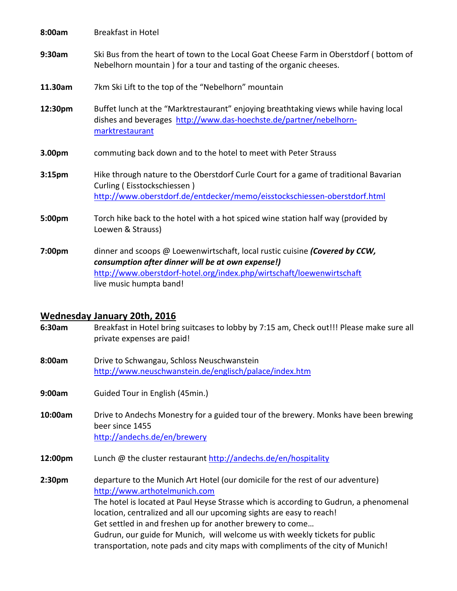| 8:00am             | <b>Breakfast in Hotel</b>                                                                                                                                                                                                            |
|--------------------|--------------------------------------------------------------------------------------------------------------------------------------------------------------------------------------------------------------------------------------|
| 9:30am             | Ski Bus from the heart of town to the Local Goat Cheese Farm in Oberstdorf (bottom of<br>Nebelhorn mountain) for a tour and tasting of the organic cheeses.                                                                          |
| 11.30am            | 7km Ski Lift to the top of the "Nebelhorn" mountain                                                                                                                                                                                  |
| 12:30pm            | Buffet lunch at the "Marktrestaurant" enjoying breathtaking views while having local<br>dishes and beverages http://www.das-hoechste.de/partner/nebelhorn-<br>marktrestaurant                                                        |
| 3.00pm             | commuting back down and to the hotel to meet with Peter Strauss                                                                                                                                                                      |
| 3:15 <sub>pm</sub> | Hike through nature to the Oberstdorf Curle Court for a game of traditional Bavarian<br>Curling (Eisstockschiessen)<br>http://www.oberstdorf.de/entdecker/memo/eisstockschiessen-oberstdorf.html                                     |
| 5:00pm             | Torch hike back to the hotel with a hot spiced wine station half way (provided by<br>Loewen & Strauss)                                                                                                                               |
| 7:00pm             | dinner and scoops @ Loewenwirtschaft, local rustic cuisine (Covered by CCW,<br>consumption after dinner will be at own expense!)<br>http://www.oberstdorf-hotel.org/index.php/wirtschaft/loewenwirtschaft<br>live music humpta band! |

#### **Wednesday January 20th, 2016**

**6:30am** Breakfast in Hotel bring suitcases to lobby by 7:15 am, Check out!!! Please make sure all private expenses are paid!

**8:00am** Drive to Schwangau, Schloss Neuschwanstein http://www.neuschwanstein.de/englisch/palace/index.htm

- **9:00am** Guided Tour in English (45min.)
- **10:00am** Drive to Andechs Monestry for a guided tour of the brewery. Monks have been brewing beer since 1455 http://andechs.de/en/brewery
- **12:00pm** Lunch @ the cluster restaurant http://andechs.de/en/hospitality

**2:30pm** departure to the Munich Art Hotel (our domicile for the rest of our adventure) http://www.arthotelmunich.com The hotel is located at Paul Heyse Strasse which is according to Gudrun, a phenomenal location, centralized and all our upcoming sights are easy to reach! Get settled in and freshen up for another brewery to come… Gudrun, our guide for Munich, will welcome us with weekly tickets for public transportation, note pads and city maps with compliments of the city of Munich!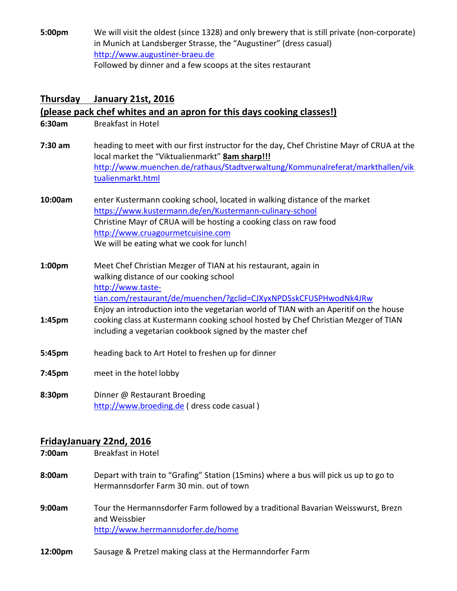**5:00pm** We will visit the oldest (since 1328) and only brewery that is still private (non-corporate) in Munich at Landsberger Strasse, the "Augustiner" (dress casual) http://www.augustiner‐braeu.de Followed by dinner and a few scoops at the sites restaurant

## **Thursday January 21st, 2016**

#### **(please pack chef whites and an apron for this days cooking classes!)**

- **6:30am** Breakfast in Hotel
- **7:30 am** heading to meet with our first instructor for the day, Chef Christine Mayr of CRUA at the local market the "Viktualienmarkt" **8am sharp!!!** http://www.muenchen.de/rathaus/Stadtverwaltung/Kommunalreferat/markthallen/vik tualienmarkt.html
- **10:00am** enter Kustermann cooking school, located in walking distance of the market https://www.kustermann.de/en/Kustermann‐culinary‐school Christine Mayr of CRUA will be hosting a cooking class on raw food http://www.cruagourmetcuisine.com We will be eating what we cook for lunch!
- **1:00pm** Meet Chef Christian Mezger of TIAN at his restaurant, again in walking distance of our cooking school http://www.taste‐ tian.com/restaurant/de/muenchen/?gclid=CJXyxNPD5skCFUSPHwodNk4JRw Enjoy an introduction into the vegetarian world of TIAN with an Aperitif on the house
- **1:45pm** cooking class at Kustermann cooking school hosted by Chef Christian Mezger of TIAN including a vegetarian cookbook signed by the master chef
- **5:45pm** heading back to Art Hotel to freshen up for dinner
- **7:45pm** meet in the hotel lobby
- **8:30pm** Dinner @ Restaurant Broeding http://www.broeding.de ( dress code casual )

#### **FridayJanuary 22nd, 2016**

- **7:00am** Breakfast in Hotel
- **8:00am** Depart with train to "Grafing" Station (15mins) where a bus will pick us up to go to Hermannsdorfer Farm 30 min. out of town
- **9:00am** Tour the Hermannsdorfer Farm followed by a traditional Bavarian Weisswurst, Brezn and Weissbier http://www.herrmannsdorfer.de/home
- **12:00pm** Sausage & Pretzel making class at the Hermanndorfer Farm